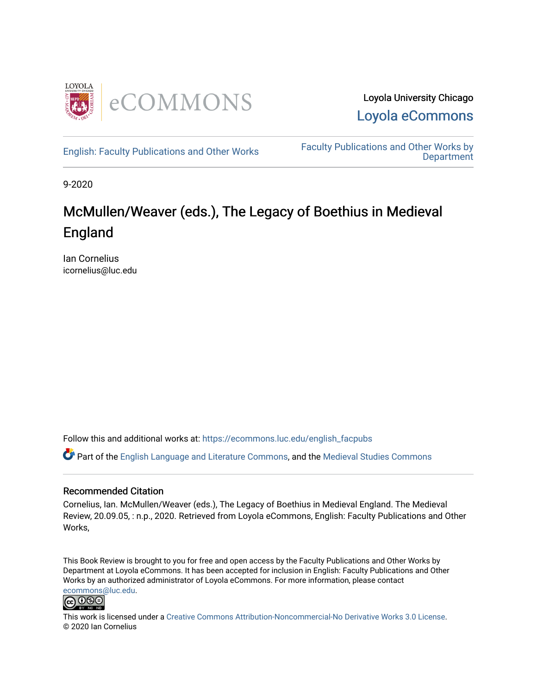

Loyola University Chicago [Loyola eCommons](https://ecommons.luc.edu/) 

[English: Faculty Publications and Other Works](https://ecommons.luc.edu/english_facpubs) Faculty Publications and Other Works by **Department** 

9-2020

### McMullen/Weaver (eds.), The Legacy of Boethius in Medieval England

Ian Cornelius icornelius@luc.edu

Follow this and additional works at: [https://ecommons.luc.edu/english\\_facpubs](https://ecommons.luc.edu/english_facpubs?utm_source=ecommons.luc.edu%2Fenglish_facpubs%2F84&utm_medium=PDF&utm_campaign=PDFCoverPages) 

Part of the [English Language and Literature Commons](https://network.bepress.com/hgg/discipline/455?utm_source=ecommons.luc.edu%2Fenglish_facpubs%2F84&utm_medium=PDF&utm_campaign=PDFCoverPages), and the [Medieval Studies Commons](https://network.bepress.com/hgg/discipline/480?utm_source=ecommons.luc.edu%2Fenglish_facpubs%2F84&utm_medium=PDF&utm_campaign=PDFCoverPages) 

#### Recommended Citation

Cornelius, Ian. McMullen/Weaver (eds.), The Legacy of Boethius in Medieval England. The Medieval Review, 20.09.05, : n.p., 2020. Retrieved from Loyola eCommons, English: Faculty Publications and Other Works,

This Book Review is brought to you for free and open access by the Faculty Publications and Other Works by Department at Loyola eCommons. It has been accepted for inclusion in English: Faculty Publications and Other Works by an authorized administrator of Loyola eCommons. For more information, please contact [ecommons@luc.edu](mailto:ecommons@luc.edu).



This work is licensed under a [Creative Commons Attribution-Noncommercial-No Derivative Works 3.0 License.](https://creativecommons.org/licenses/by-nc-nd/3.0/) © 2020 Ian Cornelius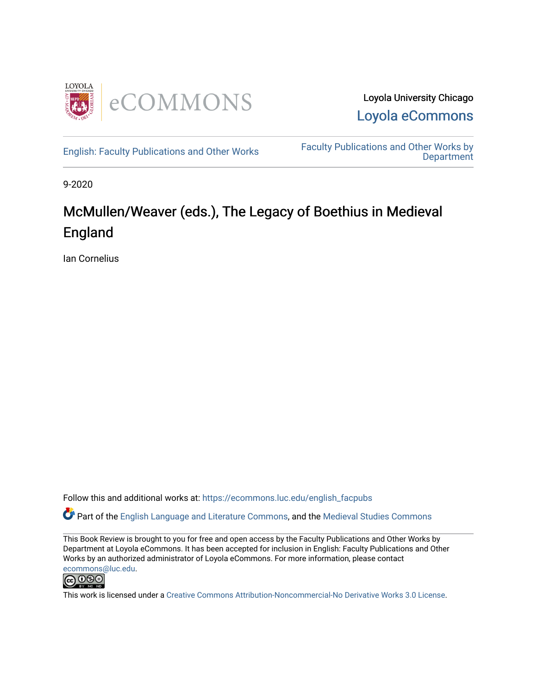

Loyola University Chicago Loyola eCommons

English: Faculty Publications and Other Works Faculty Publications and Other Works by **Department** 

9-2020

### McMullen/Weaver (eds.), The Legacy of Boethius in Medieval England

Ian Cornelius

Follow this and additional works at: https://ecommons.luc.edu/english\_facpubs

Part of the English Language and Literature Commons, and the Medieval Studies Commons

This Book Review is brought to you for free and open access by the Faculty Publications and Other Works by Department at Loyola eCommons. It has been accepted for inclusion in English: Faculty Publications and Other Works by an authorized administrator of Loyola eCommons. For more information, please contact ecommons@luc.edu.



This work is licensed under a Creative Commons Attribution-Noncommercial-No Derivative Works 3.0 License.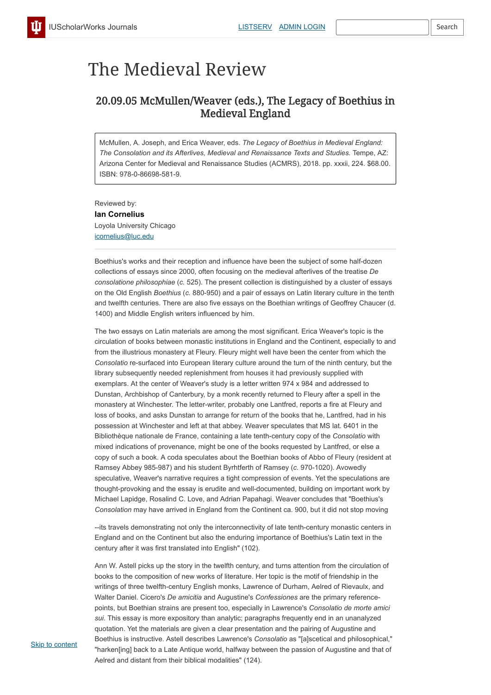# The Medieval Review

## 20.09.05 McMullen/Weaver (eds.), The Legacy of Boethius in Medieval England

McMullen, A. Joseph, and Erica Weaver, eds. *The Legacy of Boethius in Medieval England: The Consolation and its Afterlives, Medieval and Renaissance Texts and Studies.* Tempe, AZ: Arizona Center for Medieval and Renaissance Studies (ACMRS), 2018. pp. xxxii, 224. \$68.00. ISBN: 978-0-86698-581-9.

Reviewed by: **Ian Cornelius** Loyola University Chicago icornelius@luc.edu

Boethius's works and their reception and influence have been the subject of some half-dozen collections of essays since 2000, often focusing on the medieval afterlives of the treatise *De consolatione philosophiae* (*c.* 525). The present collection is distinguished by a cluster of essays on the Old English *Boethius* (*c.* 880-950) and a pair of essays on Latin literary culture in the tenth and twelfth centuries. There are also five essays on the Boethian writings of Geoffrey Chaucer (d. 1400) and Middle English writers influenced by him.

The two essays on Latin materials are among the most significant. Erica Weaver's topic is the circulation of books between monastic institutions in England and the Continent, especially to and from the illustrious monastery at Fleury. Fleury might well have been the center from which the *Consolatio* re-surfaced into European literary culture around the turn of the ninth century, but the library subsequently needed replenishment from houses it had previously supplied with exemplars. At the center of Weaver's study is a letter written 974 x 984 and addressed to Dunstan, Archbishop of Canterbury, by a monk recently returned to Fleury after a spell in the monastery at Winchester. The letter-writer, probably one Lantfred, reports a fire at Fleury and loss of books, and asks Dunstan to arrange for return of the books that he, Lantfred, had in his possession at Winchester and left at that abbey. Weaver speculates that MS lat. 6401 in the Bibliothèque nationale de France, containing a late tenth-century copy of the *Consolatio* with mixed indications of provenance, might be one of the books requested by Lantfred, or else a copy of such a book. A coda speculates about the Boethian books of Abbo of Fleury (resident at Ramsey Abbey 985-987) and his student Byrhtferth of Ramsey (*c.* 970-1020). Avowedly speculative, Weaver's narrative requires a tight compression of events. Yet the speculations are thought-provoking and the essay is erudite and well-documented, building on important work by Michael Lapidge, Rosalind C. Love, and Adrian Papahagi. Weaver concludes that "Boethius's *Consolation* may have arrived in England from the Continent ca. 900, but it did not stop moving

--its travels demonstrating not only the interconnectivity of late tenth-century monastic centers in England and on the Continent but also the enduring importance of Boethius's Latin text in the century after it was first translated into English" (102).

Ann W. Astell picks up the story in the twelfth century, and turns attention from the circulation of books to the composition of new works of literature. Her topic is the motif of friendship in the writings of three twelfth-century English monks, Lawrence of Durham, Aelred of Rievaulx, and Walter Daniel. Cicero's *De amicitia* and Augustine's *Confessiones* are the primary referencepoints, but Boethian strains are present too, especially in Lawrence's *Consolatio de morte amici sui*. This essay is more expository than analytic; paragraphs frequently end in an unanalyzed quotation. Yet the materials are given a clear presentation and the pairing of Augustine and Boethius is instructive. Astell describes Lawrence's *Consolatio* as "[a]scetical and philosophical," "harken[ing] back to a Late Antique world, halfway between the passion of Augustine and that of Aelred and distant from their biblical modalities" (124).

**Skip to content**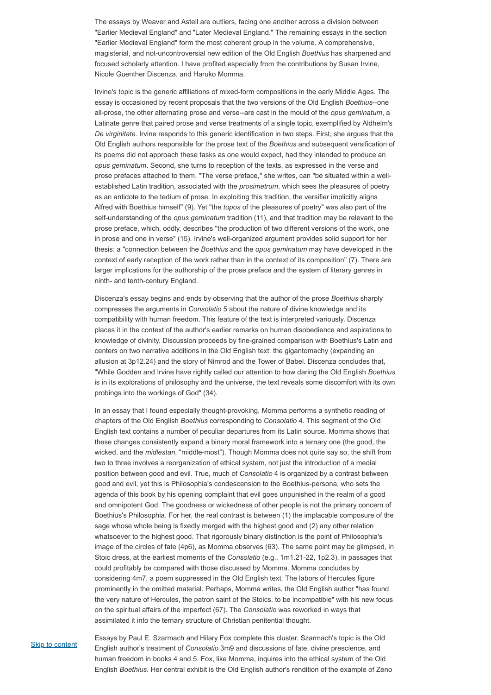The essays by Weaver and Astell are outliers, facing one another across a division between "Earlier Medieval England" and "Later Medieval England." The remaining essays in the section "Earlier Medieval England" form the most coherent group in the volume. A comprehensive, magisterial, and not-uncontroversial new edition of the Old English *Boethius* has sharpened and focused scholarly attention. I have profited especially from the contributions by Susan Irvine, Nicole Guenther Discenza, and Haruko Momma.

Irvine's topic is the generic affiliations of mixed-form compositions in the early Middle Ages. The essay is occasioned by recent proposals that the two versions of the Old English *Boethius*--one all-prose, the other alternating prose and verse--are cast in the mould of the *opus geminatum*, a Latinate genre that paired prose and verse treatments of a single topic, exemplified by Aldhelm's *De virginitate*. Irvine responds to this generic identification in two steps. First, she argues that the Old English authors responsible for the prose text of the *Boethius* and subsequent versification of its poems did not approach these tasks as one would expect, had they intended to produce an *opus geminatum*. Second, she turns to reception of the texts, as expressed in the verse and prose prefaces attached to them. "The verse preface," she writes, can "be situated within a wellestablished Latin tradition, associated with the *prosimetrum*, which sees the pleasures of poetry as an antidote to the tedium of prose. In exploiting this tradition, the versifier implicitly aligns Alfred with Boethius himself" (9). Yet "the *topos* of the pleasures of poetry" was also part of the self-understanding of the *opus geminatum* tradition (11), and that tradition may be relevant to the prose preface, which, oddly, describes "the production of two different versions of the work, one in prose and one in verse" (15). Irvine's well-organized argument provides solid support for her thesis: a "connection between the *Boethius* and the *opus geminatum* may have developed in the context of early reception of the work rather than in the context of its composition" (7). There are larger implications for the authorship of the prose preface and the system of literary genres in ninth- and tenth-century England.

Discenza's essay begins and ends by observing that the author of the prose *Boethius* sharply compresses the arguments in *Consolatio* 5 about the nature of divine knowledge and its compatibility with human freedom. This feature of the text is interpreted variously. Discenza places it in the context of the author's earlier remarks on human disobedience and aspirations to knowledge of divinity. Discussion proceeds by fine-grained comparison with Boethius's Latin and centers on two narrative additions in the Old English text: the gigantomachy (expanding an allusion at 3p12.24) and the story of Nimrod and the Tower of Babel. Discenza concludes that, "While Godden and Irvine have rightly called our attention to how daring the Old English *Boethius* is in its explorations of philosophy and the universe, the text reveals some discomfort with its own probings into the workings of God" (34).

In an essay that I found especially thought-provoking, Momma performs a synthetic reading of chapters of the Old English *Boethius* corresponding to *Consolatio* 4. This segment of the Old English text contains a number of peculiar departures from its Latin source. Momma shows that these changes consistently expand a binary moral framework into a ternary one (the good, the wicked, and the *midlestan*, "middle-most"). Though Momma does not quite say so, the shift from two to three involves a reorganization of ethical system, not just the introduction of a medial position between good and evil. True, much of *Consolatio* 4 is organized by a contrast between good and evil, yet this is Philosophia's condescension to the Boethius-persona, who sets the agenda of this book by his opening complaint that evil goes unpunished in the realm of a good and omnipotent God. The goodness or wickedness of other people is not the primary concern of Boethius's Philosophia. For her, the real contrast is between (1) the implacable composure of the sage whose whole being is fixedly merged with the highest good and (2) any other relation whatsoever to the highest good. That rigorously binary distinction is the point of Philosophia's image of the circles of fate (4p6), as Momma observes (63). The same point may be glimpsed, in Stoic dress, at the earliest moments of the *Consolatio* (e.g., 1m1.21-22, 1p2.3), in passages that could profitably be compared with those discussed by Momma. Momma concludes by considering 4m7, a poem suppressed in the Old English text. The labors of Hercules figure prominently in the omitted material. Perhaps, Momma writes, the Old English author "has found the very nature of Hercules, the patron saint of the Stoics, to be incompatible" with his new focus on the spiritual affairs of the imperfect (67). The *Consolatio* was reworked in ways that assimilated it into the ternary structure of Christian penitential thought.

**Skip to content** 

Essays by Paul E. Szarmach and Hilary Fox complete this cluster. Szarmach's topic is the Old English author's treatment of *Consolatio* 3m9 and discussions of fate, divine prescience, and human freedom in books 4 and 5. Fox, like Momma, inquires into the ethical system of the Old English *Boethius*. Her central exhibit is the Old English author's rendition of the example of Zeno